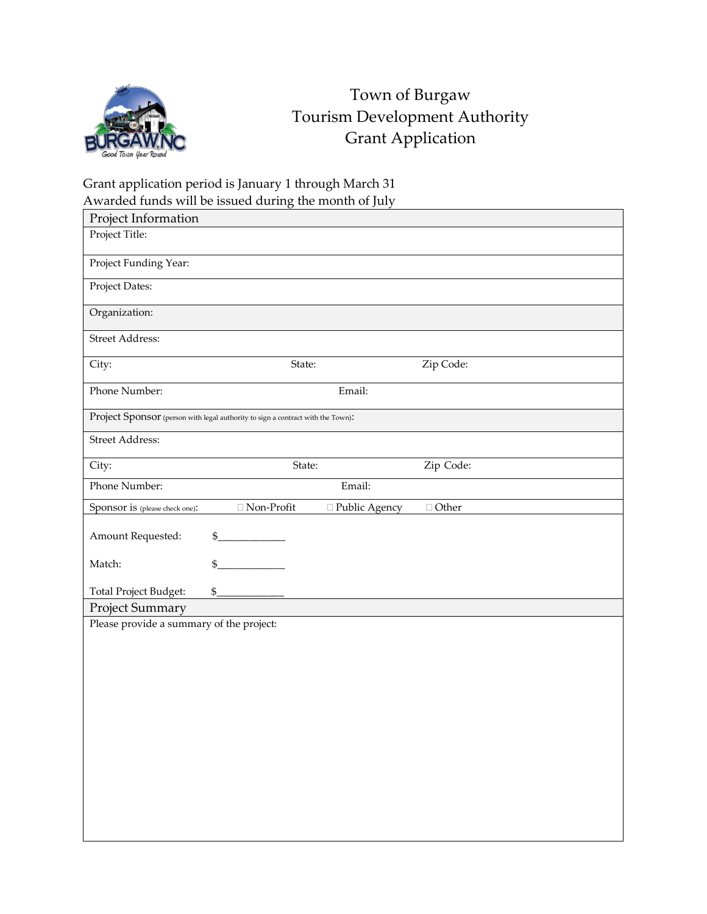

## Town of Burgaw Tourism Development Authority Grant Application

## Grant application period is January 1 through March 31 Awarded funds will be issued during the month of July

| Project Information                                                             |                   |                 |              |  |
|---------------------------------------------------------------------------------|-------------------|-----------------|--------------|--|
| Project Title:                                                                  |                   |                 |              |  |
| Project Funding Year:                                                           |                   |                 |              |  |
| Project Dates:                                                                  |                   |                 |              |  |
| Organization:                                                                   |                   |                 |              |  |
| Street Address:                                                                 |                   |                 |              |  |
| City:                                                                           | State:            |                 | Zip Code:    |  |
| Phone Number:                                                                   | Email:            |                 |              |  |
| Project Sponsor (person with legal authority to sign a contract with the Town): |                   |                 |              |  |
| Street Address:                                                                 |                   |                 |              |  |
| City:                                                                           | State:            |                 | Zip Code:    |  |
| Phone Number:                                                                   | Email:            |                 |              |  |
| Sponsor is (please check one):                                                  | $\Box$ Non-Profit | □ Public Agency | $\Box$ Other |  |
| Amount Requested:                                                               | \$                |                 |              |  |
| Match:                                                                          | \$                |                 |              |  |
| Total Project Budget:                                                           | $\frac{1}{2}$     |                 |              |  |
| Project Summary                                                                 |                   |                 |              |  |
| Please provide a summary of the project:                                        |                   |                 |              |  |
|                                                                                 |                   |                 |              |  |
|                                                                                 |                   |                 |              |  |
|                                                                                 |                   |                 |              |  |
|                                                                                 |                   |                 |              |  |
|                                                                                 |                   |                 |              |  |
|                                                                                 |                   |                 |              |  |
|                                                                                 |                   |                 |              |  |
|                                                                                 |                   |                 |              |  |
|                                                                                 |                   |                 |              |  |
|                                                                                 |                   |                 |              |  |
|                                                                                 |                   |                 |              |  |